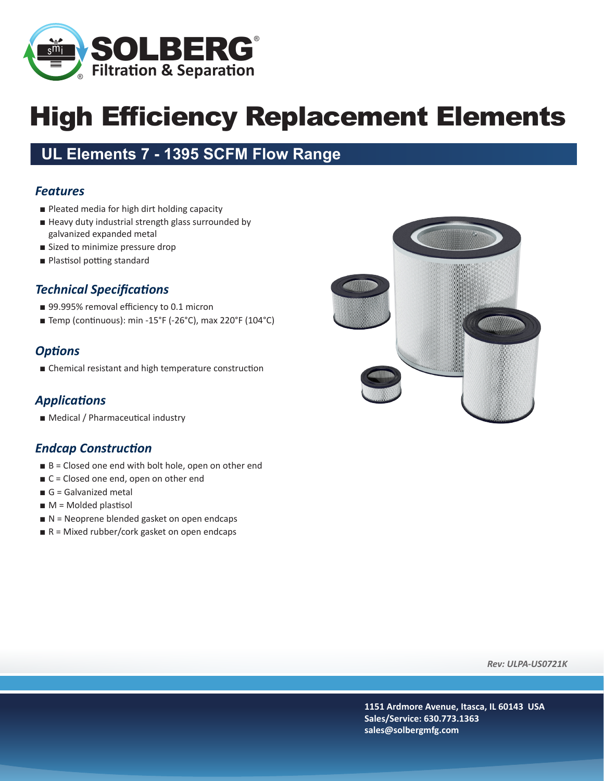

# High Efficiency Replacement Elements

### **UL Elements 7 - 1395 SCFM Flow Range**

#### *Features*

- Pleated media for high dirt holding capacity
- Heavy duty industrial strength glass surrounded by galvanized expanded metal
- Sized to minimize pressure drop
- Plastisol potting standard

#### *Technical Specifications*

- 99.995% removal efficiency to 0.1 micron
- Temp (continuous): min -15°F (-26°C), max 220°F (104°C)

#### *Options*

■ Chemical resistant and high temperature construction

#### *Applications*

■ Medical / Pharmaceutical industry

#### *Endcap Construction*

- $\blacksquare$  B = Closed one end with bolt hole, open on other end
- C = Closed one end, open on other end
- $\blacksquare$  G = Galvanized metal
- $M =$  Molded plastisol
- $\blacksquare$  N = Neoprene blended gasket on open endcaps
- $R =$  Mixed rubber/cork gasket on open endcaps



*Rev: ULPA-US0721K*

**1151 Ardmore Avenue, Itasca, IL 60143 USA Sales/Service: 630.773.1363 sales@solbergmfg.com**